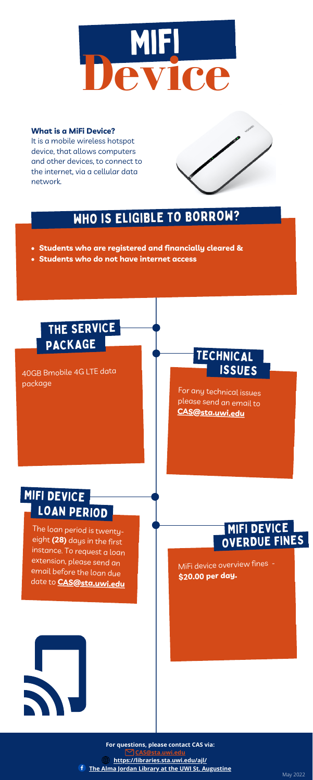**For questions, please contact CAS via:**

**[CAS@sta.uwi.edu](mailto:CAS@sta.uwi.edu)**

**<https://libraries.sta.uwi.edu/ajl/>**

**The Alma Jordan Library at the UWI St. [Augustine](https://www.facebook.com/UWISTA.AlmaJordanLibrary)**

MiFi device overview fines - **\$20.00 per day.**



# WHO IS ELIGIBLE TO BORROW?

The loan period is twentyeight **(28)** days in the first instance. To request <sup>a</sup> loan extension, please send an email before the loan due date to **[CAS@sta.uwi.edu](mailto:CAS@sta.uwi.edu)**



### MIFI DEVICE LOAN PERIOD

- **Students who are registered and financially cleared &**
- **Students who do not have internet access**

40GB Bmobile 4G LTE data package

#### **What is a MiFi Device?**

It is a mobile wireless hotspot device, that allows computers and other devices, to connect to the internet, via a cellular data network.



## THE SERVICE PACKAGE

#### TECHNICAL ISSUES

#### OVERDUE FINES MIFI DEVICE

For any technical issues please send an email to **[CAS@sta.uwi.edu](mailto:CAS@sta.uwi.edu)**